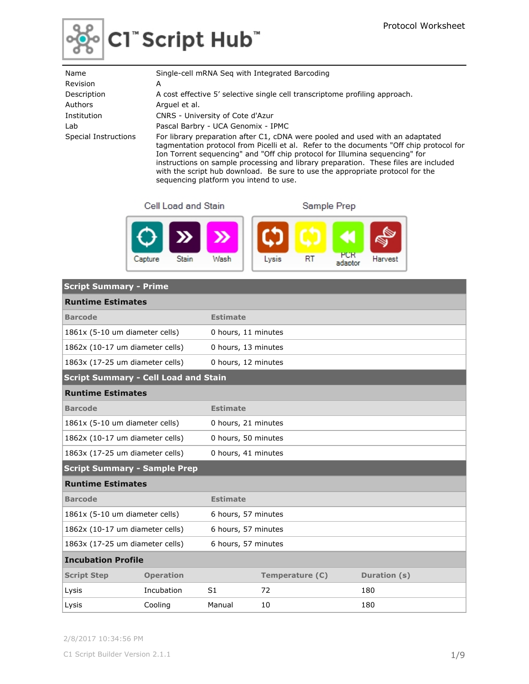

| Name                 | Single-cell mRNA Seg with Integrated Barcoding                                                                                                                                                                                                                                                                                                                                                                                                                            |
|----------------------|---------------------------------------------------------------------------------------------------------------------------------------------------------------------------------------------------------------------------------------------------------------------------------------------------------------------------------------------------------------------------------------------------------------------------------------------------------------------------|
| Revision             | A                                                                                                                                                                                                                                                                                                                                                                                                                                                                         |
| Description          | A cost effective 5' selective single cell transcriptome profiling approach.                                                                                                                                                                                                                                                                                                                                                                                               |
| Authors              | Arquel et al.                                                                                                                                                                                                                                                                                                                                                                                                                                                             |
| Institution          | CNRS - University of Cote d'Azur                                                                                                                                                                                                                                                                                                                                                                                                                                          |
| Lab                  | Pascal Barbry - UCA Genomix - IPMC                                                                                                                                                                                                                                                                                                                                                                                                                                        |
| Special Instructions | For library preparation after C1, cDNA were pooled and used with an adaptated<br>tagmentation protocol from Picelli et al. Refer to the documents "Off chip protocol for<br>Ion Torrent sequencing" and "Off chip protocol for Illumina sequencing" for<br>instructions on sample processing and library preparation. These files are included<br>with the script hub download. Be sure to use the appropriate protocol for the<br>sequencing platform you intend to use. |

Cell Load and Stain

Sample Prep



| <b>Script Summary - Prime</b>               |                  |                     |                 |              |
|---------------------------------------------|------------------|---------------------|-----------------|--------------|
| <b>Runtime Estimates</b>                    |                  |                     |                 |              |
| <b>Barcode</b>                              |                  | <b>Estimate</b>     |                 |              |
| 1861x (5-10 um diameter cells)              |                  | 0 hours, 11 minutes |                 |              |
| 1862x (10-17 um diameter cells)             |                  | 0 hours, 13 minutes |                 |              |
| 1863x (17-25 um diameter cells)             |                  | 0 hours, 12 minutes |                 |              |
| <b>Script Summary - Cell Load and Stain</b> |                  |                     |                 |              |
| <b>Runtime Estimates</b>                    |                  |                     |                 |              |
| <b>Barcode</b>                              |                  | <b>Estimate</b>     |                 |              |
| 1861x (5-10 um diameter cells)              |                  | 0 hours, 21 minutes |                 |              |
| 1862x (10-17 um diameter cells)             |                  | 0 hours, 50 minutes |                 |              |
| 1863x (17-25 um diameter cells)             |                  | 0 hours, 41 minutes |                 |              |
| <b>Script Summary - Sample Prep</b>         |                  |                     |                 |              |
| <b>Runtime Estimates</b>                    |                  |                     |                 |              |
| <b>Barcode</b>                              |                  | <b>Estimate</b>     |                 |              |
| 1861x (5-10 um diameter cells)              |                  | 6 hours, 57 minutes |                 |              |
| 1862x (10-17 um diameter cells)             |                  | 6 hours, 57 minutes |                 |              |
| 1863x (17-25 um diameter cells)             |                  | 6 hours, 57 minutes |                 |              |
| <b>Incubation Profile</b>                   |                  |                     |                 |              |
| <b>Script Step</b>                          | <b>Operation</b> |                     | Temperature (C) | Duration (s) |
| Lysis                                       | Incubation       | S <sub>1</sub>      | 72              | 180          |
| Lysis                                       | Cooling          | Manual              | 10              | 180          |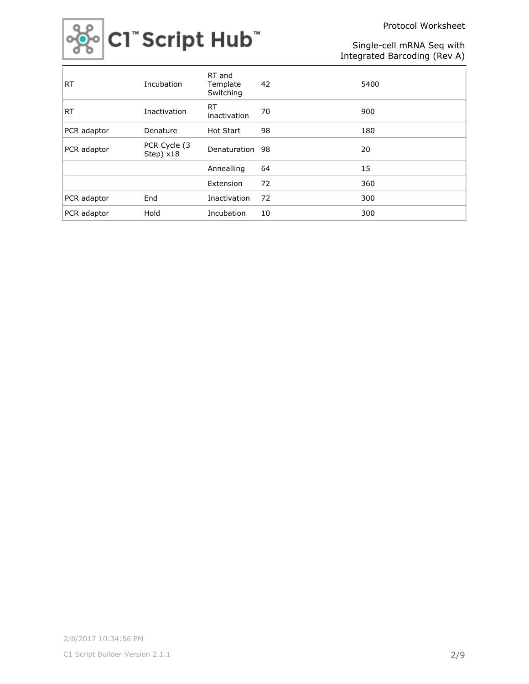Protocol Worksheet



Single-cell mRNA Seq with Integrated Barcoding (Rev A)

| <b>RT</b>   | Incubation                 | RT and<br>Template<br>Switching | 42 | 5400 |
|-------------|----------------------------|---------------------------------|----|------|
| <b>RT</b>   | Inactivation               | RT<br>inactivation              | 70 | 900  |
| PCR adaptor | Denature                   | <b>Hot Start</b>                | 98 | 180  |
| PCR adaptor | PCR Cycle (3)<br>Step) x18 | Denaturation 98                 |    | 20   |
|             |                            | Annealling                      | 64 | 15   |
|             |                            | Extension                       | 72 | 360  |
| PCR adaptor | End                        | Inactivation                    | 72 | 300  |
| PCR adaptor | Hold                       | Incubation                      | 10 | 300  |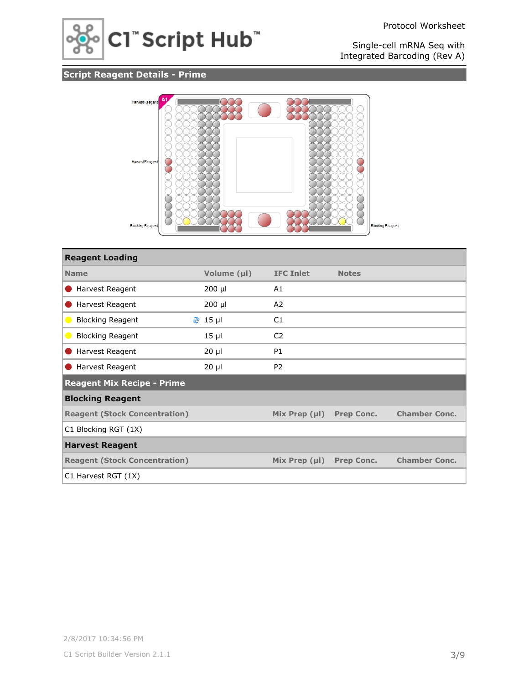

# **Script Reagent Details - Prime**



| <b>Reagent Loading</b>               |             |                    |                   |                      |
|--------------------------------------|-------------|--------------------|-------------------|----------------------|
| <b>Name</b>                          | Volume (µl) | <b>IFC Inlet</b>   | <b>Notes</b>      |                      |
| Harvest Reagent<br>$\blacksquare$    | $200$ µl    | A1                 |                   |                      |
| Harvest Reagent                      | 200 µl      | A2                 |                   |                      |
| <b>Blocking Reagent</b><br>$\bullet$ | $2$ 15 µ    | C1                 |                   |                      |
| <b>Blocking Reagent</b><br>$\bullet$ | $15$ $\mu$  | C <sub>2</sub>     |                   |                      |
| Harvest Reagent                      | $20 \mu$    | P <sub>1</sub>     |                   |                      |
| Harvest Reagent                      | $20 \mu$    | P <sub>2</sub>     |                   |                      |
| <b>Reagent Mix Recipe - Prime</b>    |             |                    |                   |                      |
| <b>Blocking Reagent</b>              |             |                    |                   |                      |
| <b>Reagent (Stock Concentration)</b> |             | Mix Prep $(\mu I)$ | <b>Prep Conc.</b> | <b>Chamber Conc.</b> |
| C1 Blocking RGT (1X)                 |             |                    |                   |                      |
| <b>Harvest Reagent</b>               |             |                    |                   |                      |
| <b>Reagent (Stock Concentration)</b> |             | Mix Prep $(\mu I)$ | <b>Prep Conc.</b> | <b>Chamber Conc.</b> |
| C1 Harvest RGT (1X)                  |             |                    |                   |                      |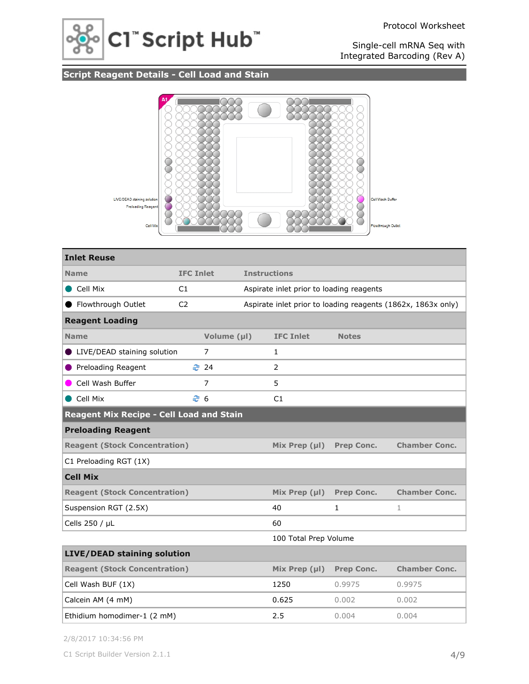

# **Script Reagent Details - Cell Load and Stain**



| <b>Inlet Reuse</b>                       |                  |                |  |                                          |              |                                                              |  |
|------------------------------------------|------------------|----------------|--|------------------------------------------|--------------|--------------------------------------------------------------|--|
| <b>Name</b>                              | <b>IFC Inlet</b> |                |  | <b>Instructions</b>                      |              |                                                              |  |
| Cell Mix                                 | C1               |                |  | Aspirate inlet prior to loading reagents |              |                                                              |  |
| ● Flowthrough Outlet                     | C <sub>2</sub>   |                |  |                                          |              | Aspirate inlet prior to loading reagents (1862x, 1863x only) |  |
| <b>Reagent Loading</b>                   |                  |                |  |                                          |              |                                                              |  |
| <b>Name</b>                              |                  | Volume (µl)    |  | <b>IFC Inlet</b>                         | <b>Notes</b> |                                                              |  |
| LIVE/DEAD staining solution              |                  | 7              |  | $\mathbf{1}$                             |              |                                                              |  |
| ● Preloading Reagent                     |                  | <b>2</b> 24    |  | $\overline{2}$                           |              |                                                              |  |
| Cell Wash Buffer                         |                  | $\overline{7}$ |  | 5                                        |              |                                                              |  |
| Cell Mix                                 | ළ 6              |                |  | C <sub>1</sub>                           |              |                                                              |  |
| Reagent Mix Recipe - Cell Load and Stain |                  |                |  |                                          |              |                                                              |  |
| <b>Preloading Reagent</b>                |                  |                |  |                                          |              |                                                              |  |
| <b>Reagent (Stock Concentration)</b>     |                  |                |  | Mix Prep $(\mu I)$                       | Prep Conc.   | <b>Chamber Conc.</b>                                         |  |
| C1 Preloading RGT (1X)                   |                  |                |  |                                          |              |                                                              |  |
| <b>Cell Mix</b>                          |                  |                |  |                                          |              |                                                              |  |
| <b>Reagent (Stock Concentration)</b>     |                  |                |  | Mix Prep $(\mu I)$                       | Prep Conc.   | <b>Chamber Conc.</b>                                         |  |
| Suspension RGT (2.5X)                    |                  |                |  | 40                                       | 1            | $\mathbf{1}$                                                 |  |
| Cells 250 / µL                           |                  |                |  | 60                                       |              |                                                              |  |
|                                          |                  |                |  | 100 Total Prep Volume                    |              |                                                              |  |
| <b>LIVE/DEAD staining solution</b>       |                  |                |  |                                          |              |                                                              |  |
| <b>Reagent (Stock Concentration)</b>     |                  |                |  | Mix Prep (µl)                            | Prep Conc.   | <b>Chamber Conc.</b>                                         |  |
| Cell Wash BUF (1X)                       |                  |                |  | 1250                                     | 0.9975       | 0.9975                                                       |  |
| Calcein AM (4 mM)                        |                  |                |  | 0.625                                    | 0.002        | 0.002                                                        |  |
| Ethidium homodimer-1 (2 mM)              |                  |                |  | 2.5                                      | 0.004        | 0.004                                                        |  |

2/8/2017 10:34:56 PM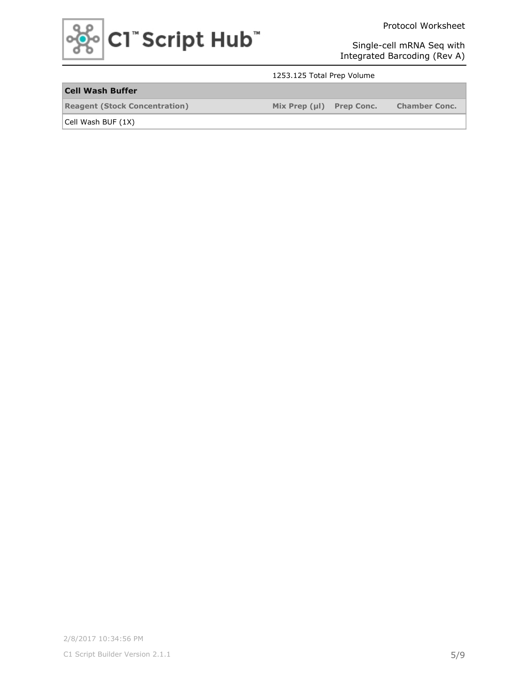

Protocol Worksheet

Single-cell mRNA Seq with Integrated Barcoding (Rev A)

#### 1253.125 Total Prep Volume

## **Cell Wash Buffer**

**Reagent (Stock Concentration) Mix Prep (µl) Prep Conc. Chamber Conc.**

Cell Wash BUF (1X)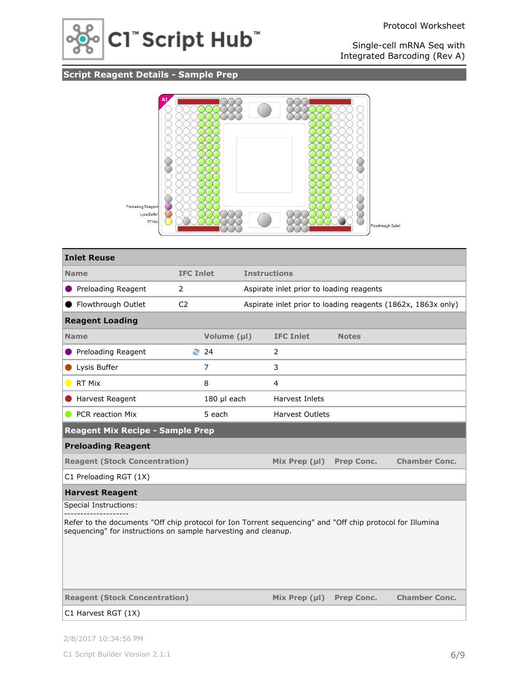

# **Script Reagent Details - Sample Prep**



| <b>Inlet Reuse</b>                                                                                                                                                          |                  |             |                     |                                          |                   |                                                              |  |
|-----------------------------------------------------------------------------------------------------------------------------------------------------------------------------|------------------|-------------|---------------------|------------------------------------------|-------------------|--------------------------------------------------------------|--|
| <b>Name</b>                                                                                                                                                                 | <b>IFC Inlet</b> |             | <b>Instructions</b> |                                          |                   |                                                              |  |
| Preloading Reagent                                                                                                                                                          | $\overline{2}$   |             |                     | Aspirate inlet prior to loading reagents |                   |                                                              |  |
| Flowthrough Outlet                                                                                                                                                          | C <sub>2</sub>   |             |                     |                                          |                   | Aspirate inlet prior to loading reagents (1862x, 1863x only) |  |
| <b>Reagent Loading</b>                                                                                                                                                      |                  |             |                     |                                          |                   |                                                              |  |
| <b>Name</b>                                                                                                                                                                 |                  | Volume (µl) |                     | <b>IFC Inlet</b>                         | <b>Notes</b>      |                                                              |  |
| ● Preloading Reagent                                                                                                                                                        |                  | ₹ 24        |                     | $\overline{2}$                           |                   |                                                              |  |
| Lysis Buffer                                                                                                                                                                |                  | 7           |                     | 3                                        |                   |                                                              |  |
| RT Mix                                                                                                                                                                      |                  | 8           |                     | 4                                        |                   |                                                              |  |
| Harvest Reagent                                                                                                                                                             |                  | 180 µl each |                     | Harvest Inlets                           |                   |                                                              |  |
| PCR reaction Mix<br>$\blacksquare$                                                                                                                                          |                  | 5 each      |                     | <b>Harvest Outlets</b>                   |                   |                                                              |  |
| <b>Reagent Mix Recipe - Sample Prep</b>                                                                                                                                     |                  |             |                     |                                          |                   |                                                              |  |
| <b>Preloading Reagent</b>                                                                                                                                                   |                  |             |                     |                                          |                   |                                                              |  |
| <b>Reagent (Stock Concentration)</b>                                                                                                                                        |                  |             |                     | Mix Prep $(\mu I)$                       | Prep Conc.        | <b>Chamber Conc.</b>                                         |  |
| C1 Preloading RGT (1X)                                                                                                                                                      |                  |             |                     |                                          |                   |                                                              |  |
| <b>Harvest Reagent</b>                                                                                                                                                      |                  |             |                     |                                          |                   |                                                              |  |
| Special Instructions:                                                                                                                                                       |                  |             |                     |                                          |                   |                                                              |  |
| Refer to the documents "Off chip protocol for Ion Torrent sequencing" and "Off chip protocol for Illumina<br>sequencing" for instructions on sample harvesting and cleanup. |                  |             |                     |                                          |                   |                                                              |  |
| <b>Reagent (Stock Concentration)</b>                                                                                                                                        |                  |             |                     | Mix Prep $(\mu I)$                       | <b>Prep Conc.</b> | <b>Chamber Conc.</b>                                         |  |
| C1 Harvest RGT (1X)                                                                                                                                                         |                  |             |                     |                                          |                   |                                                              |  |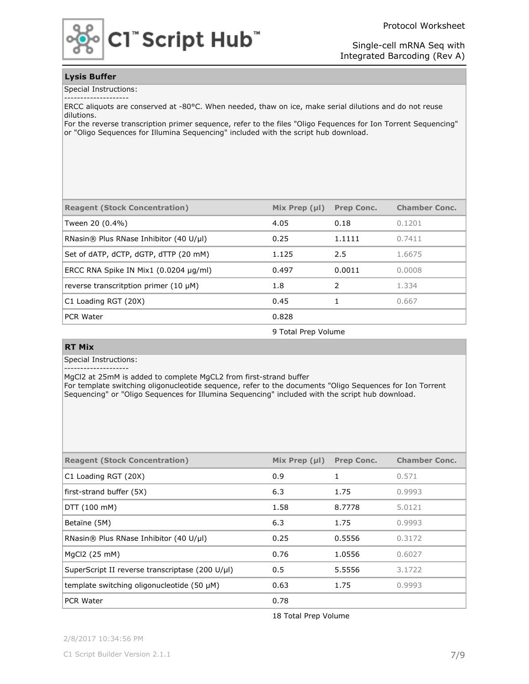Protocol Worksheet



Single-cell mRNA Seq with Integrated Barcoding (Rev A)

#### **Lysis Buffer**

Special Instructions:

ERCC aliquots are conserved at -80°C. When needed, thaw on ice, make serial dilutions and do not reuse dilutions.

For the reverse transcription primer sequence, refer to the files "Oligo Fequences for Ion Torrent Sequencing" or "Oligo Sequences for Illumina Sequencing" included with the script hub download.

| <b>Reagent (Stock Concentration)</b>       | Mix Prep $(\mu I)$ | <b>Prep Conc.</b> | <b>Chamber Conc.</b> |
|--------------------------------------------|--------------------|-------------------|----------------------|
| Tween 20 (0.4%)                            | 4.05               | 0.18              | 0.1201               |
| RNasin® Plus RNase Inhibitor (40 U/µl)     | 0.25               | 1.1111            | 0.7411               |
| Set of dATP, dCTP, dGTP, dTTP (20 mM)      | 1.125              | 2.5               | 1.6675               |
| ERCC RNA Spike IN Mix1 $(0.0204 \mu g/ml)$ | 0.497              | 0.0011            | 0.0008               |
| reverse transcritption primer $(10 \mu M)$ | 1.8                | $\mathcal{L}$     | 1.334                |
| C1 Loading RGT (20X)                       | 0.45               |                   | 0.667                |
| <b>PCR Water</b>                           | 0.828              |                   |                      |

9 Total Prep Volume

#### **RT Mix**

Special Instructions:

--------------------

MgCl2 at 25mM is added to complete MgCL2 from first-strand buffer

For template switching oligonucleotide sequence, refer to the documents "Oligo Sequences for Ion Torrent Sequencing" or "Oligo Sequences for Illumina Sequencing" included with the script hub download.

| <b>Reagent (Stock Concentration)</b>            | Mix Prep $(\mu I)$ | <b>Prep Conc.</b> | <b>Chamber Conc.</b> |
|-------------------------------------------------|--------------------|-------------------|----------------------|
| C1 Loading RGT (20X)                            | 0.9                | 1                 | 0.571                |
| first-strand buffer (5X)                        | 6.3                | 1.75              | 0.9993               |
| DTT(100~mM)                                     | 1.58               | 8.7778            | 5.0121               |
| Betaïne (5M)                                    | 6.3                | 1.75              | 0.9993               |
| RNasin® Plus RNase Inhibitor (40 U/µl)          | 0.25               | 0.5556            | 0.3172               |
| MgCl2 (25 mM)                                   | 0.76               | 1.0556            | 0.6027               |
| SuperScript II reverse transcriptase (200 U/µl) | 0.5                | 5.5556            | 3.1722               |
| template switching oligonucleotide $(50 \mu M)$ | 0.63               | 1.75              | 0.9993               |
| <b>PCR Water</b>                                | 0.78               |                   |                      |

18 Total Prep Volume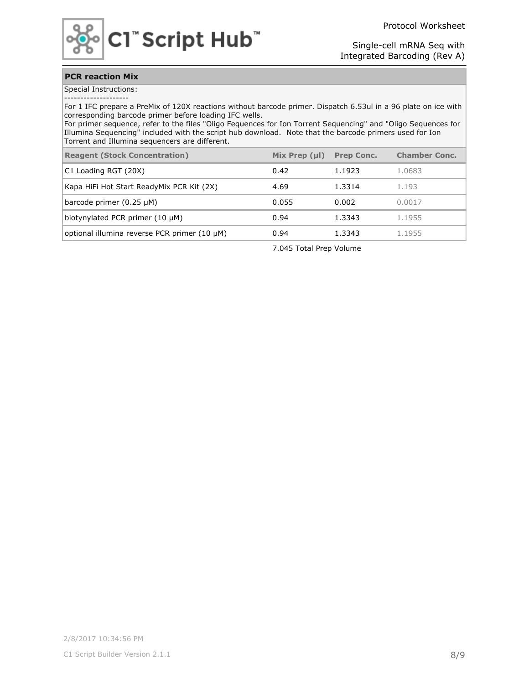

### **PCR reaction Mix**

Special Instructions: --------------------

For 1 IFC prepare a PreMix of 120X reactions without barcode primer. Dispatch 6.53ul in a 96 plate on ice with corresponding barcode primer before loading IFC wells.

For primer sequence, refer to the files "Oligo Fequences for Ion Torrent Sequencing" and "Oligo Sequences for Illumina Sequencing" included with the script hub download. Note that the barcode primers used for Ion Torrent and Illumina sequencers are different.

| <b>Reagent (Stock Concentration)</b>         | Mix Prep $(\mu I)$ | <b>Prep Conc.</b> | <b>Chamber Conc.</b> |
|----------------------------------------------|--------------------|-------------------|----------------------|
| C1 Loading RGT (20X)                         | 0.42               | 1.1923            | 1.0683               |
| Kapa HiFi Hot Start ReadyMix PCR Kit (2X)    | 4.69               | 1.3314            | 1.193                |
| barcode primer $(0.25 \mu M)$                | 0.055              | 0.002             | 0.0017               |
| biotynylated PCR primer $(10 \mu M)$         | 0.94               | 1.3343            | 1.1955               |
| optional illumina reverse PCR primer (10 µM) | 0.94               | 1.3343            | 1.1955               |

7.045 Total Prep Volume